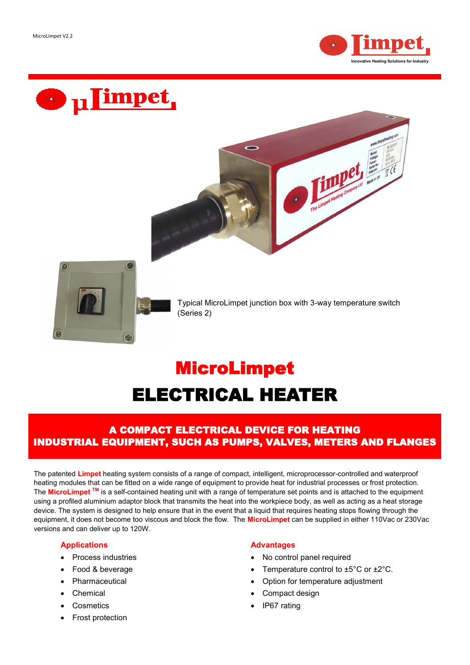Ø



The Limpot Heading Company Liv Islands



Typical MicroLimpet junction box with 3-way temperature switch (Series 2)

# MicroLimpet ELECTRICAL HEATER

 $\sqrt{2}$ 

# A COMPACT ELECTRICAL DEVICE FOR HEATING INDUSTRIAL EQUIPMENT, SUCH AS PUMPS, VALVES, METERS AND FLANGES

The patented **Limpet** heating system consists of a range of compact, intelligent, microprocessor-controlled and waterproof heating modules that can be fitted on a wide range of equipment to provide heat for industrial processes or frost protection. The **MicroLimpet TM** is a self-contained heating unit with a range of temperature set points and is attached to the equipment using a profiled aluminium adaptor block that transmits the heat into the workpiece body, as well as acting as a heat storage device. The system is designed to help ensure that in the event that a liquid that requires heating stops flowing through the equipment, it does not become too viscous and block the flow. The **MicroLimpet** can be supplied in either 110Vac or 230Vac versions and can deliver up to 120W.

### **Applications**

- Process industries
- Food & beverage
- **Pharmaceutical**
- **Chemical**
- **Cosmetics**
- Frost protection

### **Advantages**

- No control panel required
- Temperature control to ±5°C or ±2°C.
- Option for temperature adjustment
- Compact design
- IP67 rating